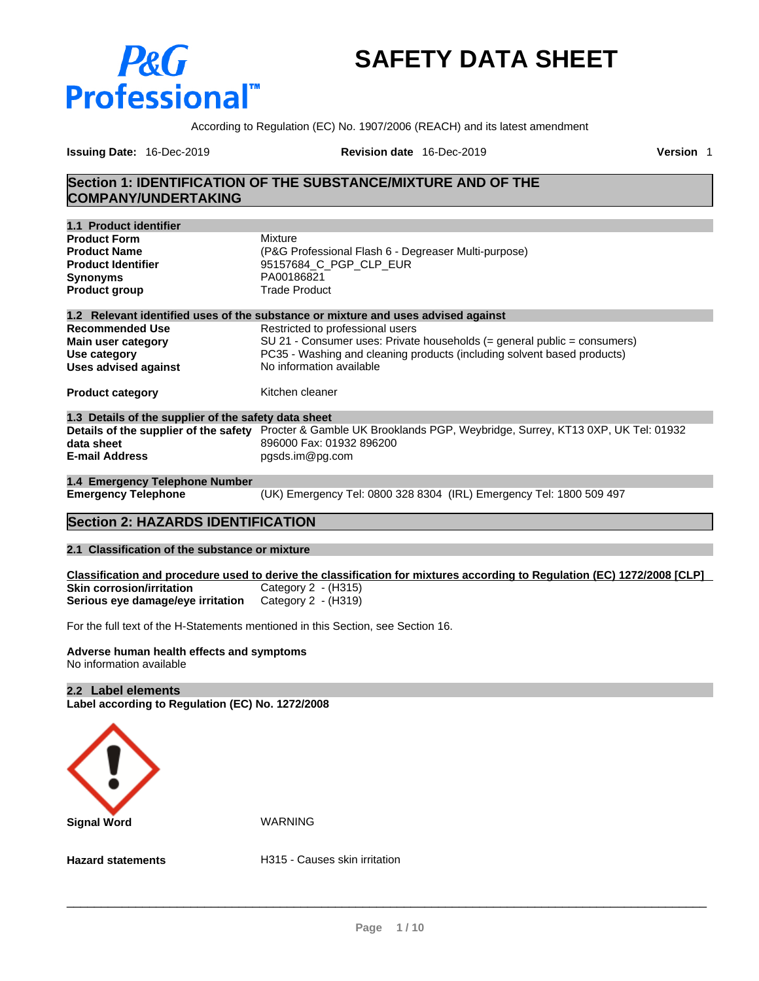# **P&G Professional**

# **SAFETY DATA SHEET**

According to Regulation (EC) No. 1907/2006 (REACH) and its latest amendment

**Issuing Date:** 16-Dec-2019 **Revision date** 16-Dec-2019 **Version** 1

## **Section 1: IDENTIFICATION OF THE SUBSTANCE/MIXTURE AND OF THE COMPANY/UNDERTAKING**

| 1.1 Product identifier                               |                                                                                                                      |
|------------------------------------------------------|----------------------------------------------------------------------------------------------------------------------|
| <b>Product Form</b>                                  | Mixture                                                                                                              |
| <b>Product Name</b>                                  | (P&G Professional Flash 6 - Degreaser Multi-purpose)                                                                 |
| <b>Product Identifier</b>                            | 95157684 C PGP CLP EUR                                                                                               |
| <b>Synonyms</b>                                      | PA00186821                                                                                                           |
| <b>Product group</b>                                 | <b>Trade Product</b>                                                                                                 |
|                                                      | 1.2 Relevant identified uses of the substance or mixture and uses advised against                                    |
| <b>Recommended Use</b>                               | Restricted to professional users                                                                                     |
| Main user category                                   | $SU 21$ - Consumer uses: Private households (= general public = consumers)                                           |
| Use category                                         | PC35 - Washing and cleaning products (including solvent based products)                                              |
| <b>Uses advised against</b>                          | No information available                                                                                             |
| <b>Product category</b>                              | Kitchen cleaner                                                                                                      |
| 1.3 Details of the supplier of the safety data sheet |                                                                                                                      |
|                                                      | Details of the supplier of the safety Procter & Gamble UK Brooklands PGP, Weybridge, Surrey, KT13 0XP, UK Tel: 01932 |
| data sheet                                           | 896000 Fax: 01932 896200                                                                                             |
| <b>E-mail Address</b>                                | pgsds.im@pg.com                                                                                                      |
| 1.4 Emergency Telephone Number                       |                                                                                                                      |
| <b>Emergency Telephone</b>                           | (UK) Emergency Tel: 0800 328 8304 (IRL) Emergency Tel: 1800 509 497                                                  |
|                                                      |                                                                                                                      |

## **Section 2: HAZARDS IDENTIFICATION**

## **2.1 Classification of the substance or mixture**

Classification and procedure used to derive the classification for mixtures according to Regulation (EC) 1272/2008 [CLP] **Skin corrosion/irritation** Category 2 - (H315)<br>**Serious eye damage/eye irritation** Category 2 - (H319) **Serious eye damage/eye irritation** 

For the full text of the H-Statements mentioned in this Section, see Section 16.

#### **Adverse human health effects and symptoms** No information available

## **2.2 Label elements**

**Label according to Regulation (EC) No. 1272/2008**



**Hazard statements H315 - Causes skin irritation**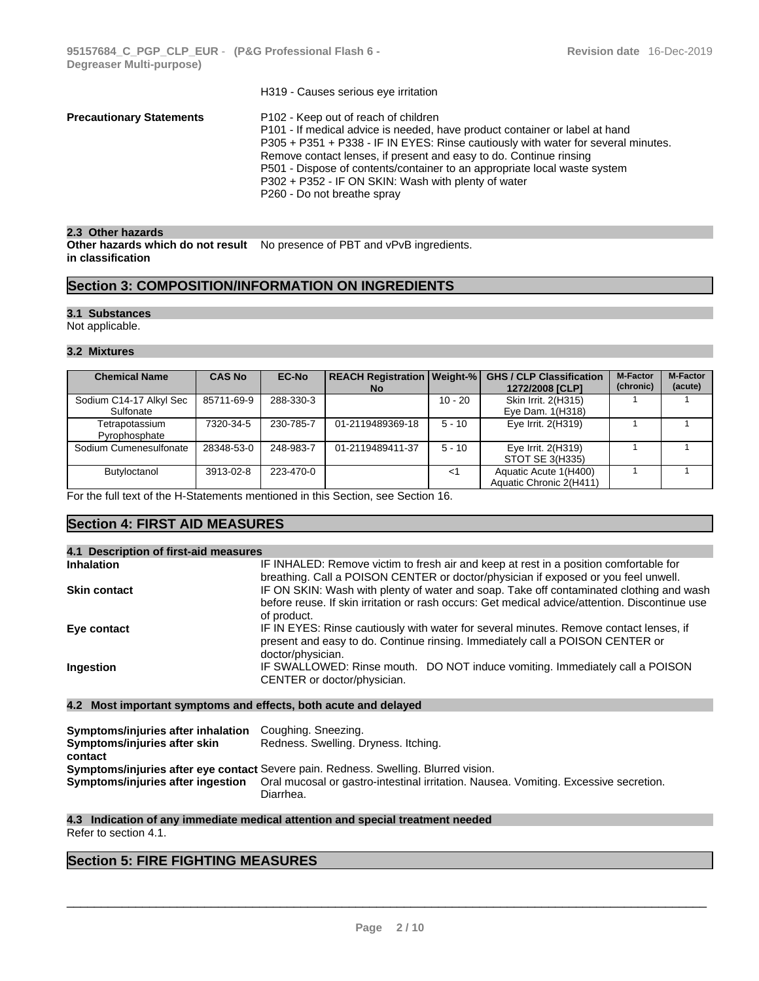|                                 | H319 - Causes serious eye irritation                                                                                                                                                                                                                                                                                                                                                                                                              |
|---------------------------------|---------------------------------------------------------------------------------------------------------------------------------------------------------------------------------------------------------------------------------------------------------------------------------------------------------------------------------------------------------------------------------------------------------------------------------------------------|
| <b>Precautionary Statements</b> | P102 - Keep out of reach of children<br>P101 - If medical advice is needed, have product container or label at hand<br>P305 + P351 + P338 - IF IN EYES: Rinse cautiously with water for several minutes.<br>Remove contact lenses, if present and easy to do. Continue rinsing<br>P501 - Dispose of contents/container to an appropriate local waste system<br>P302 + P352 - IF ON SKIN: Wash with plenty of water<br>P260 - Do not breathe spray |
|                                 |                                                                                                                                                                                                                                                                                                                                                                                                                                                   |

## **2.3 Other hazards**

**Other hazards which do not result** No presence of PBT and vPvB ingredients. **in classification**

## **Section 3: COMPOSITION/INFORMATION ON INGREDIENTS**

## **3.1 Substances**

Not applicable.

## **3.2 Mixtures**

| <b>Chemical Name</b>                 | <b>CAS No</b> | <b>EC-No</b> | <b>REACH Registration   Weight-%  </b><br>No. |           | <b>GHS / CLP Classification</b><br>1272/2008 [CLP] | <b>M-Factor</b><br>(chronic) | <b>M-Factor</b><br>(acute) |
|--------------------------------------|---------------|--------------|-----------------------------------------------|-----------|----------------------------------------------------|------------------------------|----------------------------|
| Sodium C14-17 Alkyl Sec<br>Sulfonate | 85711-69-9    | 288-330-3    |                                               | $10 - 20$ | Skin Irrit. 2(H315)<br>Eye Dam. 1(H318)            |                              |                            |
| Tetrapotassium<br>Pyrophosphate      | 7320-34-5     | 230-785-7    | 01-2119489369-18                              | $5 - 10$  | Eye Irrit. 2(H319)                                 |                              |                            |
| Sodium Cumenesulfonate               | 28348-53-0    | 248-983-7    | 01-2119489411-37                              | $5 - 10$  | Eye Irrit. 2(H319)<br>STOT SE 3(H335)              |                              |                            |
| Butyloctanol                         | 3913-02-8     | 223-470-0    |                                               | <1        | Aquatic Acute 1(H400)<br>Aquatic Chronic 2(H411)   |                              |                            |

For the full text of the H-Statements mentioned in this Section, see Section 16.

## **Section 4: FIRST AID MEASURES**

| 4.1 Description of first-aid measures |                                                                                                                                                                                                                                                                                                |
|---------------------------------------|------------------------------------------------------------------------------------------------------------------------------------------------------------------------------------------------------------------------------------------------------------------------------------------------|
| <b>Inhalation</b>                     | IF INHALED: Remove victim to fresh air and keep at rest in a position comfortable for                                                                                                                                                                                                          |
| <b>Skin contact</b>                   | breathing. Call a POISON CENTER or doctor/physician if exposed or you feel unwell.<br>IF ON SKIN: Wash with plenty of water and soap. Take off contaminated clothing and wash<br>before reuse. If skin irritation or rash occurs: Get medical advice/attention. Discontinue use<br>of product. |
| Eye contact                           | IF IN EYES: Rinse cautiously with water for several minutes. Remove contact lenses, if<br>present and easy to do. Continue rinsing. Immediately call a POISON CENTER or<br>doctor/physician.                                                                                                   |
| Ingestion                             | IF SWALLOWED: Rinse mouth. DO NOT induce vomiting. Immediately call a POISON<br>CENTER or doctor/physician.                                                                                                                                                                                    |

## **4.2 Most important symptoms and effects, both acute and delayed**

| Symptoms/injuries after inhalation | Coughing. Sneezing.                                                                                                    |
|------------------------------------|------------------------------------------------------------------------------------------------------------------------|
| Symptoms/injuries after skin       | Redness. Swelling. Dryness. Itching.                                                                                   |
| contact                            |                                                                                                                        |
|                                    | <b>Symptoms/injuries after eye contact</b> Severe pain. Redness. Swelling. Blurred vision.                             |
|                                    | Symptoms/injuries after ingestion Oral mucosal or gastro-intestinal irritation. Nausea. Vomiting. Excessive secretion. |
|                                    | Diarrhea.                                                                                                              |

## **4.3 Indication of any immediate medical attention and special treatment needed**

Refer to section 4.1.

## **Section 5: FIRE FIGHTING MEASURES**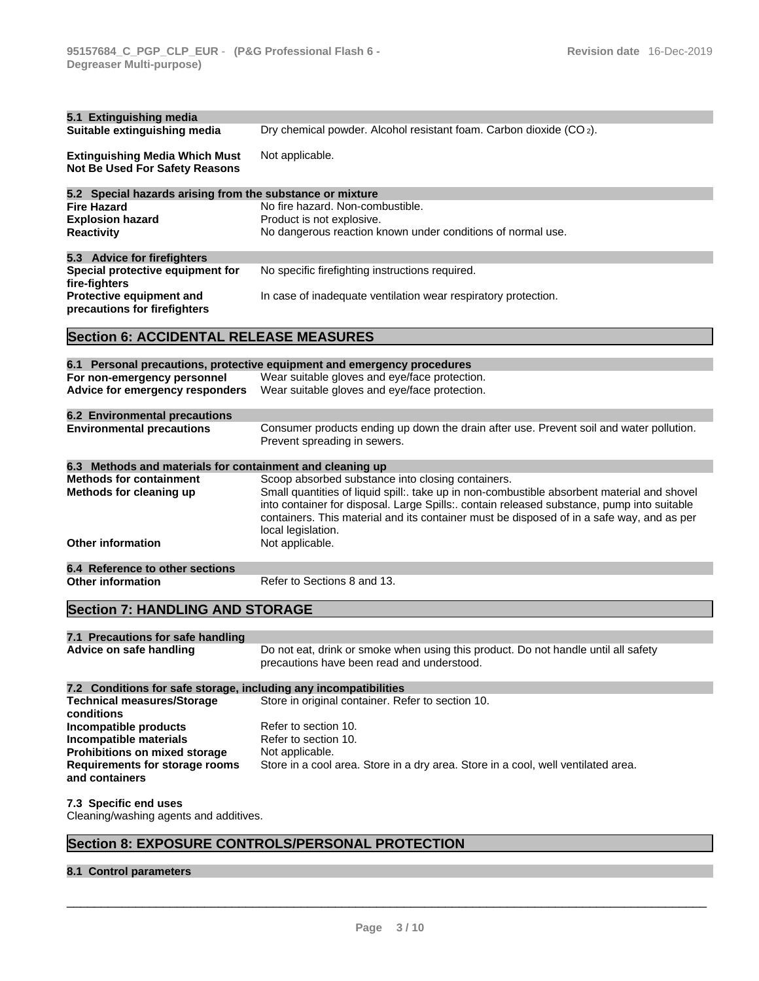| 5.1 Extinguishing media                                                 |                                                                                                                         |
|-------------------------------------------------------------------------|-------------------------------------------------------------------------------------------------------------------------|
| Suitable extinguishing media                                            | Dry chemical powder. Alcohol resistant foam. Carbon dioxide (CO <sub>2</sub> ).                                         |
| <b>Extinguishing Media Which Must</b><br>Not Be Used For Safety Reasons | Not applicable.                                                                                                         |
| 5.2 Special hazards arising from the substance or mixture               |                                                                                                                         |
| <b>Fire Hazard</b>                                                      | No fire hazard. Non-combustible.                                                                                        |
| <b>Explosion hazard</b>                                                 | Product is not explosive.                                                                                               |
| <b>Reactivity</b>                                                       | No dangerous reaction known under conditions of normal use.                                                             |
|                                                                         |                                                                                                                         |
| 5.3 Advice for firefighters<br>Special protective equipment for         | No specific firefighting instructions required.                                                                         |
| fire-fighters                                                           |                                                                                                                         |
| Protective equipment and<br>precautions for firefighters                | In case of inadequate ventilation wear respiratory protection.                                                          |
| <b>Section 6: ACCIDENTAL RELEASE MEASURES</b>                           |                                                                                                                         |
|                                                                         | 6.1 Personal precautions, protective equipment and emergency procedures                                                 |
| For non-emergency personnel                                             | Wear suitable gloves and eye/face protection.                                                                           |
| Advice for emergency responders                                         | Wear suitable gloves and eye/face protection.                                                                           |
|                                                                         |                                                                                                                         |
| <b>6.2 Environmental precautions</b>                                    |                                                                                                                         |
| <b>Environmental precautions</b>                                        | Consumer products ending up down the drain after use. Prevent soil and water pollution.<br>Prevent spreading in sewers. |
|                                                                         |                                                                                                                         |
| 6.3 Methods and materials for containment and cleaning up               |                                                                                                                         |
| <b>Methods for containment</b>                                          | Scoop absorbed substance into closing containers.                                                                       |
| Methods for cleaning up                                                 | Small quantities of liquid spill:. take up in non-combustible absorbent material and shovel                             |
|                                                                         | into container for disposal. Large Spills:. contain released substance, pump into suitable                              |
|                                                                         | containers. This material and its container must be disposed of in a safe way, and as per                               |
| <b>Other information</b>                                                | local legislation.                                                                                                      |
|                                                                         | Not applicable.                                                                                                         |
| 6.4 Reference to other sections                                         |                                                                                                                         |
| <b>Other information</b>                                                | Refer to Sections 8 and 13.                                                                                             |
| <b>Section 7: HANDLING AND STORAGE</b>                                  |                                                                                                                         |
| 7.1 Precautions for safe handling                                       |                                                                                                                         |
| Advice on safe handling                                                 | Do not eat, drink or smoke when using this product. Do not handle until all safety                                      |
|                                                                         | precautions have been read and understood.                                                                              |
| 7.2 Conditions for safe storage, including any incompatibilities        |                                                                                                                         |
| <b>Technical measures/Storage</b>                                       | Store in original container. Refer to section 10.                                                                       |
| conditions                                                              |                                                                                                                         |
| Incompatible products                                                   | Refer to section 10.                                                                                                    |
| Incompatible materials                                                  | Refer to section 10.                                                                                                    |
| <b>Prohibitions on mixed storage</b>                                    | Not applicable.                                                                                                         |
| Requirements for storage rooms                                          | Store in a cool area. Store in a dry area. Store in a cool, well ventilated area.                                       |
| and containers                                                          |                                                                                                                         |
| 7.3 Specific end uses                                                   |                                                                                                                         |
| Cleaning/washing agents and additives.                                  |                                                                                                                         |
|                                                                         |                                                                                                                         |
|                                                                         | Section 8: EXPOSURE CONTROLS/PERSONAL PROTECTION                                                                        |
|                                                                         |                                                                                                                         |

## **8.1 Control parameters**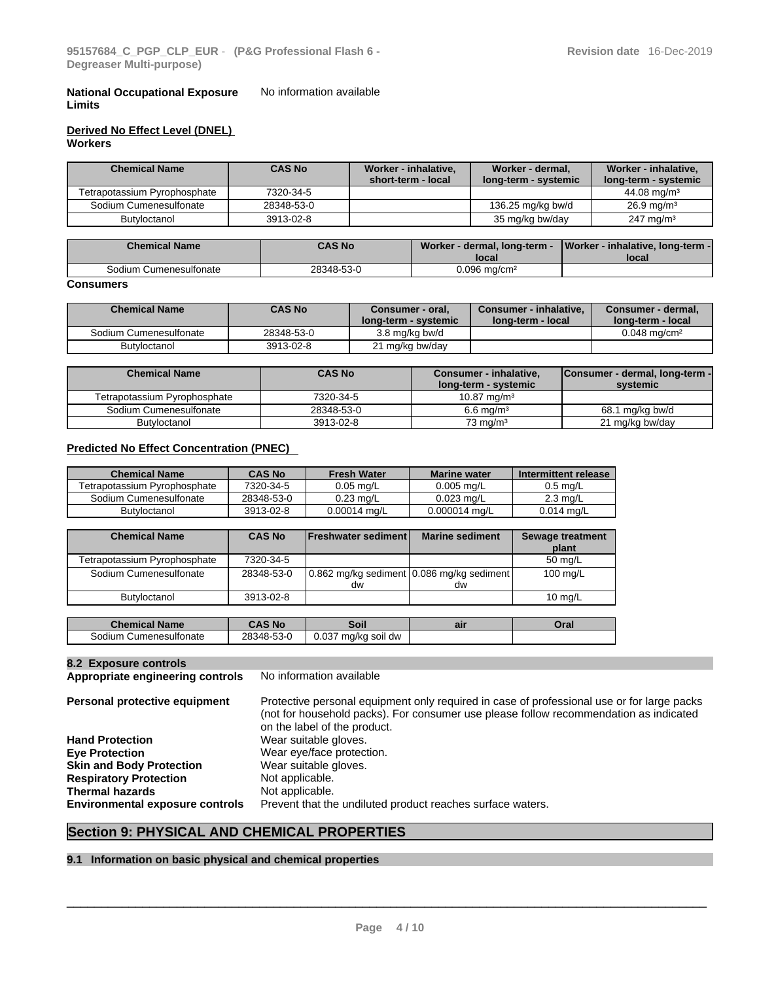#### **National Occupational Exposure Limits** No information available

## **Derived No Effect Level (DNEL) Workers**

| <b>Chemical Name</b>         | <b>CAS No</b> | Worker - inhalative,<br>short-term - local | Worker - dermal,<br>long-term - systemic | Worker - inhalative,<br>long-term - systemic |
|------------------------------|---------------|--------------------------------------------|------------------------------------------|----------------------------------------------|
| Tetrapotassium Pyrophosphate | 7320-34-5     |                                            |                                          | 44.08 mg/m <sup>3</sup>                      |
| Sodium Cumenesulfonate       | 28348-53-0    |                                            | 136.25 mg/kg bw/d                        | $26.9 \,\mathrm{mq/m^3}$                     |
| Butyloctanol                 | 3913-02-8     |                                            | 35 mg/kg bw/day                          | $247 \text{ mg/m}^3$                         |

| <b>Chemical Name</b>   | <b>CAS No</b> | Worker - dermal, long-term -<br>local | Worker - inhalative, long-term -<br>local |
|------------------------|---------------|---------------------------------------|-------------------------------------------|
| Sodium Cumenesulfonate | 28348-53-0    | 0.096 ma/cm²                          |                                           |

## **Consumers**

| <b>Chemical Name</b>   | <b>CAS No</b> | Consumer - oral,<br><b>long-term - systemic</b> | Consumer - inhalative.<br><b>Iong-term - local</b> | ∕ Consumer - dermal,<br><b>Iong-term - local</b> |
|------------------------|---------------|-------------------------------------------------|----------------------------------------------------|--------------------------------------------------|
| Sodium Cumenesulfonate | 28348-53-0    | 3.8 mg/kg bw/d                                  |                                                    | $0.048 \; \text{ma/cm}^2$                        |
| <b>Butyloctanol</b>    | 3913-02-8     | l mg/kg bw/day                                  |                                                    |                                                  |

| <b>Chemical Name</b>         | <b>CAS No</b> | Consumer - inhalative,<br>long-term - systemic | Consumer - dermal, long-term -<br>systemic |
|------------------------------|---------------|------------------------------------------------|--------------------------------------------|
| Tetrapotassium Pyrophosphate | 7320-34-5     | $10.87 \text{ ma/m}^3$                         |                                            |
| Sodium Cumenesulfonate       | 28348-53-0    | $6.6$ ma/m <sup>3</sup>                        | 68.1 mg/kg bw/d                            |
| Butyloctanol                 | 3913-02-8     | $73 \text{ ma/m}^3$                            | 21 mg/kg bw/day                            |

## **Predicted No Effect Concentration (PNEC)**

| <b>Chemical Name</b>         | <b>CAS No</b> | <b>Fresh Water</b>  | <b>Marine water</b> | Intermittent release |
|------------------------------|---------------|---------------------|---------------------|----------------------|
| Tetrapotassium Pvrophosphate | 7320-34-5     | $0.05$ mg/L         | $0.005$ mg/L        | $0.5$ ma/L           |
| Sodium Cumenesulfonate       | 28348-53-0    | $0.23 \text{ ma/L}$ | $0.023$ ma/L        | $2.3 \text{ mg/L}$   |
| Butyloctanol                 | 3913-02-8     | $0.00014$ mg/L      | $0.000014$ mg/L     | $0.014$ mg/L         |

| <b>Chemical Name</b>         | <b>CAS No</b> | <b>IFreshwater sedimentl</b> | <b>Marine sediment</b>                          | <b>Sewage treatment</b><br>plant |
|------------------------------|---------------|------------------------------|-------------------------------------------------|----------------------------------|
| Tetrapotassium Pyrophosphate | 7320-34-5     |                              |                                                 | 50 mg/L                          |
| Sodium Cumenesulfonate       | 28348-53-0    | dw                           | 0.862 mg/kg sediment 0.086 mg/kg sediment<br>dw | 100 mg/L                         |
| Butyloctanol                 | 3913-02-8     |                              |                                                 | $10 \text{ ma/L}$                |
|                              |               |                              |                                                 |                                  |
| <b>Chemical Name</b>         | <b>CAS No</b> | Soil                         | air                                             | Oral                             |
| Sodium Cumenesulfonate       | 28348-53-0    | 0.037 mg/kg soil dw          |                                                 |                                  |

## **8.2 Exposure controls**

**Appropriate engineering controls** No information available

**Personal protective equipment** Protective personal equipment only required in case of professional use or for large packs (not for household packs). For consumer use please follow recommendation as indicated on the label of the product. **Hand Protection** Wear suitable gloves. **Eye Protection** Wear eye/face protection. **Skin and Body Protection** Wear suitable gloves. **Respiratory Protection** Not applicable.<br> **Thermal hazards** Not applicable. **Thermal hazards Environmental exposure controls** Prevent that the undiluted product reaches surface waters.

## **Section 9: PHYSICAL AND CHEMICAL PROPERTIES**

## **9.1 Information on basic physical and chemical properties**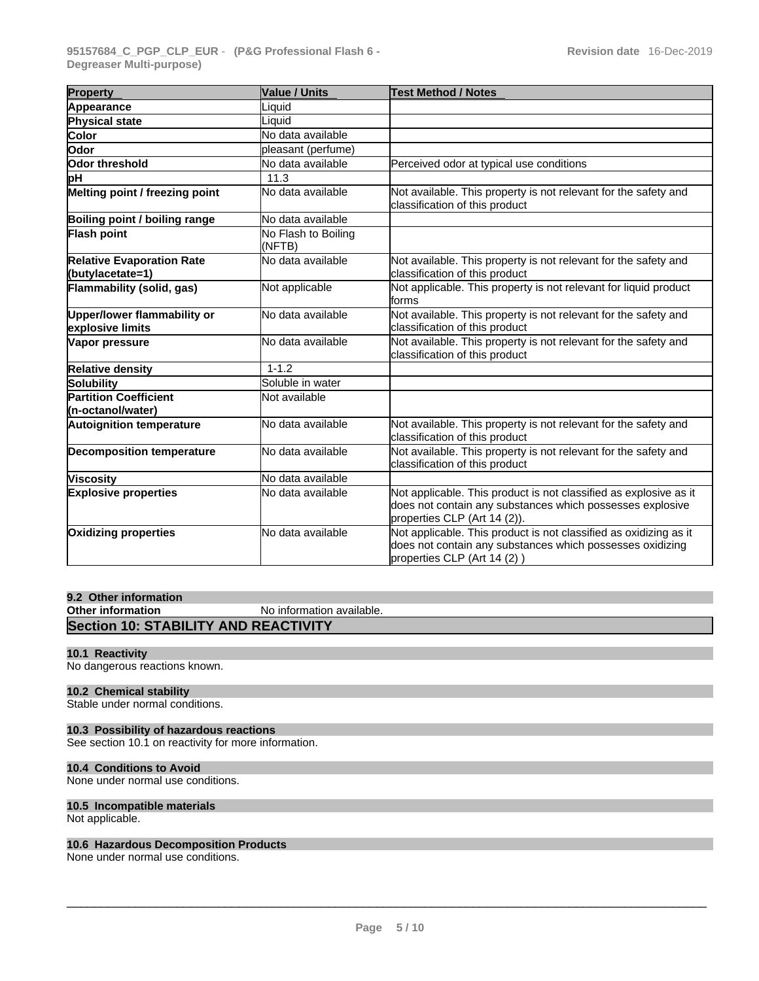| <b>Property</b>                                      | <b>Value / Units</b>          | <b>Test Method / Notes</b>                                                                                                                                     |
|------------------------------------------------------|-------------------------------|----------------------------------------------------------------------------------------------------------------------------------------------------------------|
| Appearance                                           | Liquid                        |                                                                                                                                                                |
| Physical state                                       | Liquid                        |                                                                                                                                                                |
| Color                                                | No data available             |                                                                                                                                                                |
| Odor                                                 | pleasant (perfume)            |                                                                                                                                                                |
| Odor threshold                                       | No data available             | Perceived odor at typical use conditions                                                                                                                       |
| þН                                                   | 11.3                          |                                                                                                                                                                |
| Melting point / freezing point                       | No data available             | Not available. This property is not relevant for the safety and<br>classification of this product                                                              |
| Boiling point / boiling range                        | No data available             |                                                                                                                                                                |
| Flash point                                          | No Flash to Boiling<br>(NFTB) |                                                                                                                                                                |
| <b>Relative Evaporation Rate</b><br>(butylacetate=1) | No data available             | Not available. This property is not relevant for the safety and<br>classification of this product                                                              |
| Flammability (solid, gas)                            | Not applicable                | Not applicable. This property is not relevant for liquid product<br>forms                                                                                      |
| Upper/lower flammability or<br>explosive limits      | No data available             | Not available. This property is not relevant for the safety and<br>classification of this product                                                              |
| Vapor pressure                                       | No data available             | Not available. This property is not relevant for the safety and<br>classification of this product                                                              |
| <b>Relative density</b>                              | $1 - 1.2$                     |                                                                                                                                                                |
| Solubility                                           | Soluble in water              |                                                                                                                                                                |
| <b>Partition Coefficient</b><br>(n-octanol/water)    | Not available                 |                                                                                                                                                                |
| <b>Autoignition temperature</b>                      | No data available             | Not available. This property is not relevant for the safety and<br>classification of this product                                                              |
| <b>Decomposition temperature</b>                     | No data available             | Not available. This property is not relevant for the safety and<br>classification of this product                                                              |
| <b>Viscosity</b>                                     | No data available             |                                                                                                                                                                |
| <b>Explosive properties</b>                          | No data available             | Not applicable. This product is not classified as explosive as it<br>does not contain any substances which possesses explosive<br>properties CLP (Art 14 (2)). |
| <b>Oxidizing properties</b>                          | No data available             | Not applicable. This product is not classified as oxidizing as it<br>does not contain any substances which possesses oxidizing<br>properties CLP (Art 14 (2))  |

## **9.2 Other information No information available. Section 10: STABILITY AND REACTIVITY**

## **10.1 Reactivity**

No dangerous reactions known.

## **10.2 Chemical stability**

Stable under normal conditions.

## **10.3 Possibility of hazardous reactions**

See section 10.1 on reactivity for more information.

## **10.4 Conditions to Avoid**

None under normal use conditions.

## **10.5 Incompatible materials**

Not applicable.

## **10.6 Hazardous Decomposition Products**

None under normal use conditions.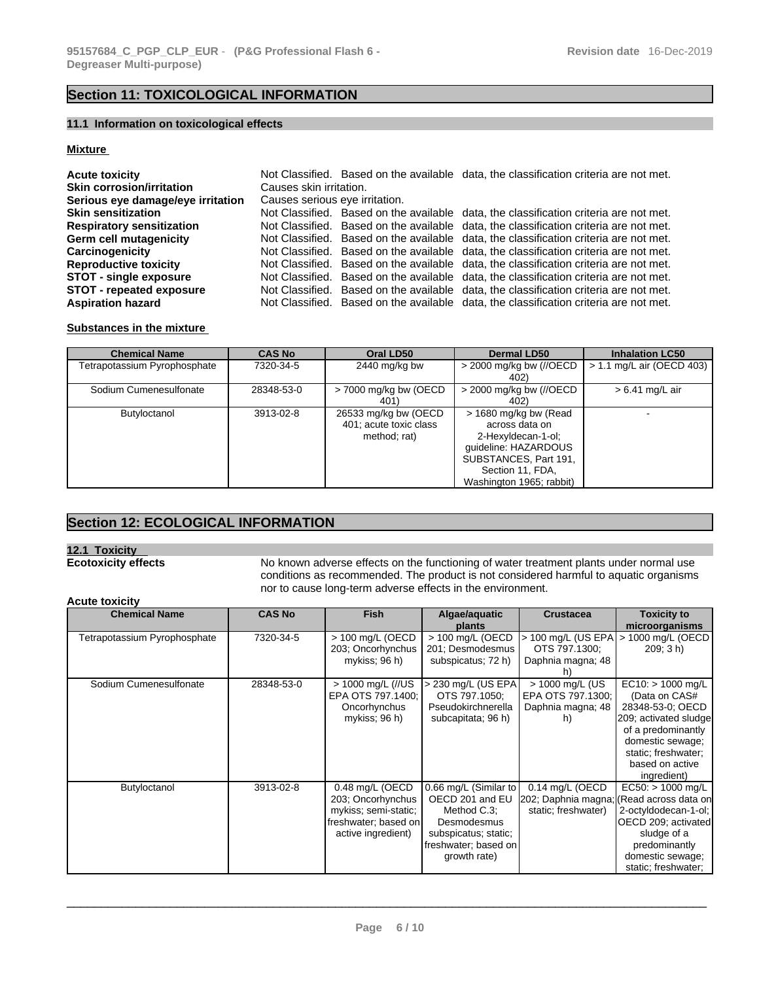## **Section 11: TOXICOLOGICAL INFORMATION**

## **11.1 Information on toxicological effects**

## **Mixture**

| <b>Acute toxicity</b>             |                                | Not Classified. Based on the available data, the classification criteria are not met. |  |
|-----------------------------------|--------------------------------|---------------------------------------------------------------------------------------|--|
| <b>Skin corrosion/irritation</b>  | Causes skin irritation.        |                                                                                       |  |
| Serious eye damage/eye irritation | Causes serious eye irritation. |                                                                                       |  |
| <b>Skin sensitization</b>         |                                | Not Classified. Based on the available data, the classification criteria are not met. |  |
| <b>Respiratory sensitization</b>  |                                | Not Classified. Based on the available data, the classification criteria are not met. |  |
| <b>Germ cell mutagenicity</b>     |                                | Not Classified. Based on the available data, the classification criteria are not met. |  |
| Carcinogenicity                   |                                | Not Classified. Based on the available data, the classification criteria are not met. |  |
| <b>Reproductive toxicity</b>      |                                | Not Classified. Based on the available data, the classification criteria are not met. |  |
| <b>STOT - single exposure</b>     |                                | Not Classified. Based on the available data, the classification criteria are not met. |  |
| <b>STOT - repeated exposure</b>   |                                | Not Classified. Based on the available data, the classification criteria are not met. |  |
| <b>Aspiration hazard</b>          |                                | Not Classified. Based on the available data, the classification criteria are not met. |  |

## **Substances in the mixture**

| <b>Chemical Name</b>         | <b>CAS No</b> | Oral LD50                                                      | <b>Dermal LD50</b>                                                                                                                                             | <b>Inhalation LC50</b>      |
|------------------------------|---------------|----------------------------------------------------------------|----------------------------------------------------------------------------------------------------------------------------------------------------------------|-----------------------------|
| Fetrapotassium Pyrophosphate | 7320-34-5     | 2440 mg/kg bw                                                  | > 2000 mg/kg bw (//OECD<br>402)                                                                                                                                | $> 1.1$ mg/L air (OECD 403) |
| Sodium Cumenesulfonate       | 28348-53-0    | $>$ 7000 mg/kg bw (OECD<br>401)                                | $>$ 2000 mg/kg bw (//OECD<br>402)                                                                                                                              | $> 6.41$ mg/L air           |
| Butyloctanol                 | 3913-02-8     | 26533 mg/kg bw (OECD<br>401; acute toxic class<br>method; rat) | > 1680 mg/kg bw (Read<br>across data on<br>2-Hexyldecan-1-ol;<br>guideline: HAZARDOUS<br>SUBSTANCES, Part 191,<br>Section 11, FDA,<br>Washington 1965; rabbit) |                             |

## **Section 12: ECOLOGICAL INFORMATION**

**12.1 Toxicity** 

No known adverse effects on the functioning of water treatment plants under normal use conditions as recommended. The product is not considered harmful to aquatic organisms nor to cause long-term adverse effects in the environment.

## **Acute toxicity**

| <b>Chemical Name</b>         | <b>CAS No</b> | <b>Fish</b>                                                                                                | Algae/aquatic<br>plants                                                                                                                | <b>Crustacea</b>                                                                   | <b>Toxicity to</b><br>microorganisms                                                                                                                                               |
|------------------------------|---------------|------------------------------------------------------------------------------------------------------------|----------------------------------------------------------------------------------------------------------------------------------------|------------------------------------------------------------------------------------|------------------------------------------------------------------------------------------------------------------------------------------------------------------------------------|
| Tetrapotassium Pyrophosphate | 7320-34-5     | > 100 mg/L (OECD<br>203; Oncorhynchus<br>mykiss: 96 h)                                                     | > 100 mg/L (OECD<br>201; Desmodesmus<br>subspicatus; 72 h)                                                                             | $>$ 100 mg/L (US EPA)<br>OTS 797.1300;<br>Daphnia magna; 48<br>h)                  | 1000 mg/L (OECD<br>209; 3 h)                                                                                                                                                       |
| Sodium Cumenesulfonate       | 28348-53-0    | > 1000 mg/L (//US<br>EPA OTS 797.1400;<br>Oncorhynchus<br>mykiss; 96 h)                                    | > 230 mg/L (US EPA<br>OTS 797.1050;<br>Pseudokirchnerella<br>subcapitata; 96 h)                                                        | > 1000 mg/L (US<br>EPA OTS 797.1300;<br>Daphnia magna; 48<br>h)                    | EC10: > 1000 mg/L<br>(Data on CAS#<br>28348-53-0; OECD<br>209; activated sludge<br>of a predominantly<br>domestic sewage;<br>static; freshwater;<br>based on active<br>ingredient) |
| Butyloctanol                 | 3913-02-8     | 0.48 mg/L (OECD<br>203; Oncorhynchus<br>mykiss; semi-static;<br>freshwater; based on<br>active ingredient) | 0.66 mg/L (Similar to<br>OECD 201 and EU<br>Method C.3;<br>Desmodesmus<br>subspicatus; static;<br>freshwater; based on<br>growth rate) | 0.14 mg/L (OECD<br>202; Daphnia magna; (Read across data on<br>static; freshwater) | $EC50:$ > 1000 mg/L<br>2-octyldodecan-1-ol;<br>OECD 209; activated<br>sludge of a<br>predominantly<br>domestic sewage;<br>static; freshwater;                                      |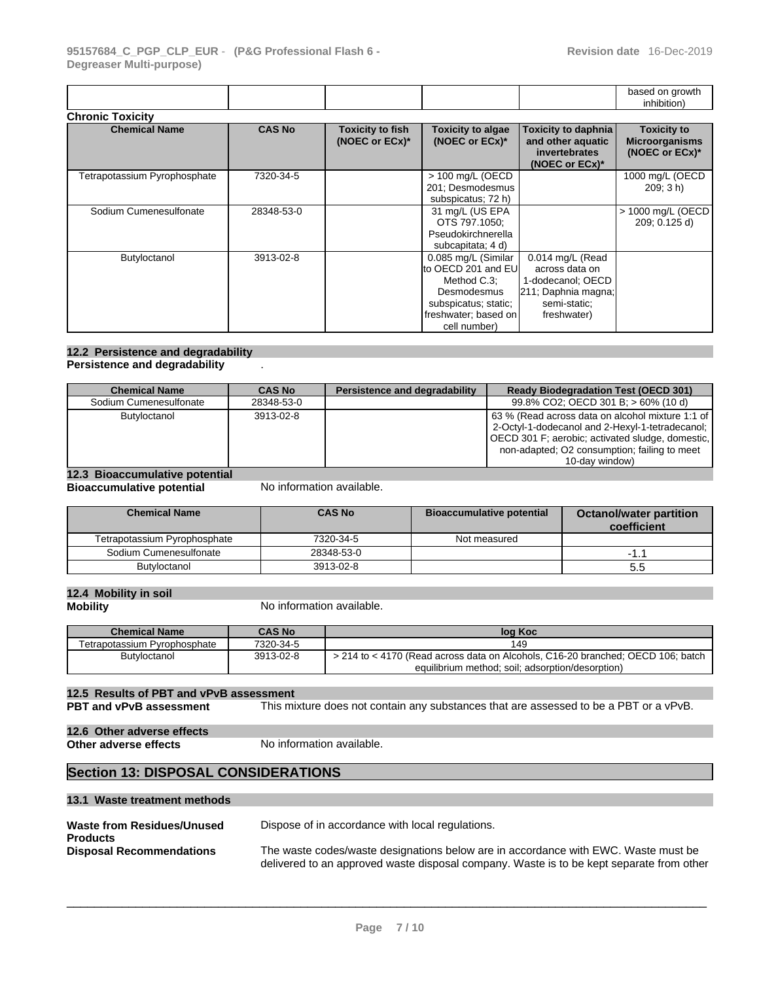|                              |               |                                           |                                                                                                                                          |                                                                                                               | based on growth<br>inhibition)                                |
|------------------------------|---------------|-------------------------------------------|------------------------------------------------------------------------------------------------------------------------------------------|---------------------------------------------------------------------------------------------------------------|---------------------------------------------------------------|
| <b>Chronic Toxicity</b>      |               |                                           |                                                                                                                                          |                                                                                                               |                                                               |
| <b>Chemical Name</b>         | <b>CAS No</b> | <b>Toxicity to fish</b><br>(NOEC or ECx)* | <b>Toxicity to algae</b><br>(NOEC or ECx)*                                                                                               | Toxicity to daphnia<br>and other aquatic<br>invertebrates<br>(NOEC or ECx)*                                   | <b>Toxicity to</b><br><b>Microorganisms</b><br>(NOEC or ECx)* |
| Tetrapotassium Pyrophosphate | 7320-34-5     |                                           | > 100 mg/L (OECD<br>201; Desmodesmus<br>subspicatus; 72 h)                                                                               |                                                                                                               | 1000 mg/L (OECD<br>209:3 h)                                   |
| Sodium Cumenesulfonate       | 28348-53-0    |                                           | 31 mg/L (US EPA<br>OTS 797.1050;<br>Pseudokirchnerella<br>subcapitata; 4 d)                                                              |                                                                                                               | > 1000 mg/L (OECD<br>209; 0.125 d)                            |
| Butyloctanol                 | 3913-02-8     |                                           | 0.085 mg/L (Similar<br>to OECD 201 and EUI<br>Method C.3:<br>Desmodesmus<br>subspicatus; static;<br>freshwater; based on<br>cell number) | 0.014 mg/L (Read<br>across data on<br>1-dodecanol; OECD<br>211; Daphnia magna;<br>semi-static;<br>freshwater) |                                                               |

## **12.2 Persistence and degradability**

**Persistence and degradability** .

| <b>Chemical Name</b>           | <b>CAS No</b> | Persistence and degradability | <b>Ready Biodegradation Test (OECD 301)</b>                                                                                                                                                                               |
|--------------------------------|---------------|-------------------------------|---------------------------------------------------------------------------------------------------------------------------------------------------------------------------------------------------------------------------|
| Sodium Cumenesulfonate         | 28348-53-0    |                               | 99.8% CO2; OECD 301 B; > 60% (10 d)                                                                                                                                                                                       |
| Butyloctanol                   | 3913-02-8     |                               | 63 % (Read across data on alcohol mixture 1:1 of<br>2-Octyl-1-dodecanol and 2-Hexyl-1-tetradecanol;<br>OECD 301 F; aerobic; activated sludge, domestic,<br>non-adapted; O2 consumption; failing to meet<br>10-day window) |
| 12.2 Ricaccumulative netential |               |                               |                                                                                                                                                                                                                           |

## **12.3 Bioaccumulative potential**

**Bioaccumulative potential** No information available.

| <b>Chemical Name</b>         | <b>CAS No</b> | <b>Bioaccumulative potential</b> | <b>Octanol/water partition</b><br>coefficient |
|------------------------------|---------------|----------------------------------|-----------------------------------------------|
| Tetrapotassium Pyrophosphate | 7320-34-5     | Not measured                     |                                               |
| Sodium Cumenesulfonate       | 28348-53-0    |                                  |                                               |
| Butyloctanol                 | 3913-02-8     |                                  | 5.5                                           |

## **12.4 Mobility in soil**

**No information available.** 

| <b>Chemical Name</b>         | <b>CAS No</b> | log Koc                                                                         |
|------------------------------|---------------|---------------------------------------------------------------------------------|
| Tetrapotassium Pvrophosphate | 7320-34-5     | 149                                                                             |
| <b>Butyloctanol</b>          | 3913-02-8     | > 214 to < 4170 (Read across data on Alcohols, C16-20 branched; OECD 106; batch |
|                              |               | equilibrium method: soil: adsorption/desorption)                                |

## **12.5 Results of PBT and vPvB assessment**

**PBT and vPvB assessment** This mixture does not contain any substances that are assessed to be a PBT or a vPvB.

## **12.6 Other adverse effects**

**No information available.** 

## **Section 13: DISPOSAL CONSIDERATIONS**

## **13.1 Waste treatment methods**

| Waste from Residues/Unused<br><b>Products</b> | Dispose of in accordance with local regulations.                                         |
|-----------------------------------------------|------------------------------------------------------------------------------------------|
| <b>Disposal Recommendations</b>               | The waste codes/waste designations below are in accordance with EWC. Waste must be       |
|                                               | delivered to an approved waste disposal company. Waste is to be kept separate from other |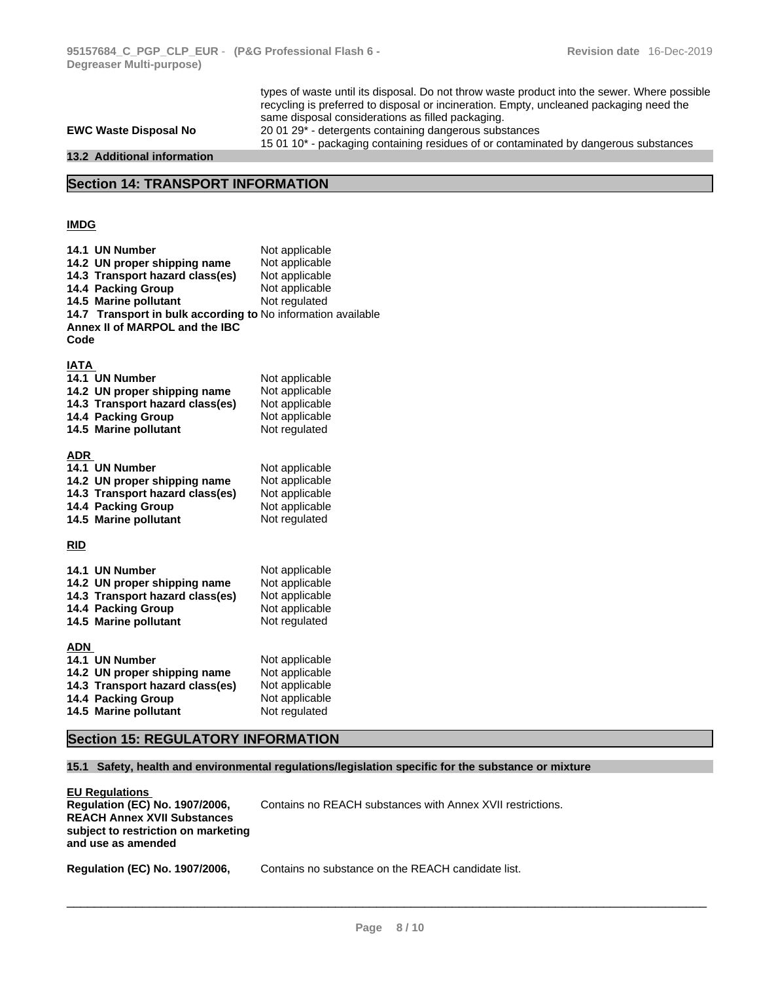types of waste until its disposal.Do not throw waste product into the sewer. Where possible recycling is preferred to disposal or incineration. Empty, uncleaned packaging need the same disposal considerations as filled packaging. **EWC Waste Disposal No** 20 01 29\*- detergents containing dangerous substances 15 01 10\*- packaging containing residues of or contaminated by dangerous substances **13.2 Additional information** 

## **Section 14: TRANSPORT INFORMATION**

## **IMDG**

| 14.1 UN Number                                               | Not applicable                   |
|--------------------------------------------------------------|----------------------------------|
| 14.2 UN proper shipping name                                 | Not applicable                   |
| 14.3 Transport hazard class(es)                              | Not applicable                   |
| 14.4 Packing Group                                           | Not applicable                   |
| 14.5 Marine pollutant                                        | Not regulated                    |
| 14.7 Transport in bulk according to No information available |                                  |
| Annex II of MARPOL and the IBC                               |                                  |
| Code                                                         |                                  |
|                                                              |                                  |
| <b>IATA</b>                                                  |                                  |
| 14.1 UN Number                                               | Not applicable                   |
| 14.2 UN proper shipping name                                 | Not applicable                   |
| 14.3 Transport hazard class(es)                              | Not applicable                   |
| 14.4 Packing Group                                           | Not applicable                   |
| 14.5 Marine pollutant                                        | Not regulated                    |
|                                                              |                                  |
| <b>ADR</b>                                                   |                                  |
| 14.1 UN Number                                               | Not applicable                   |
| 14.2 UN proper shipping name                                 | Not applicable<br>Not applicable |
| 14.3 Transport hazard class(es)<br>14.4 Packing Group        | Not applicable                   |
| 14.5 Marine pollutant                                        | Not regulated                    |
|                                                              |                                  |
| <b>RID</b>                                                   |                                  |
|                                                              |                                  |
| 14.1 UN Number                                               | Not applicable                   |
| 14.2 UN proper shipping name                                 | Not applicable                   |
| 14.3 Transport hazard class(es)                              | Not applicable                   |
| 14.4 Packing Group                                           | Not applicable                   |
| 14.5 Marine pollutant                                        | Not regulated                    |
|                                                              |                                  |
| <b>ADN</b>                                                   |                                  |
| 14.1 UN Number                                               | Not applicable                   |
| 14.2 UN proper shipping name                                 | Not applicable                   |
| 14.3 Transport hazard class(es)                              | Not applicable                   |
| 14.4 Packing Group                                           | Not applicable                   |
| 14.5 Marine pollutant                                        | Not regulated                    |

## **Section 15: REGULATORY INFORMATION**

## **15.1 Safety, health and environmental regulations/legislation specific for the substance or mixture**

| <b>EU Regulations</b>                                                                           |                                                            |
|-------------------------------------------------------------------------------------------------|------------------------------------------------------------|
| <b>Requlation (EC) No. 1907/2006.</b>                                                           | Contains no REACH substances with Annex XVII restrictions. |
| <b>REACH Annex XVII Substances</b><br>subject to restriction on marketing<br>and use as amended |                                                            |

**Regulation (EC) No. 1907/2006,** Contains no substance on the REACH candidate list.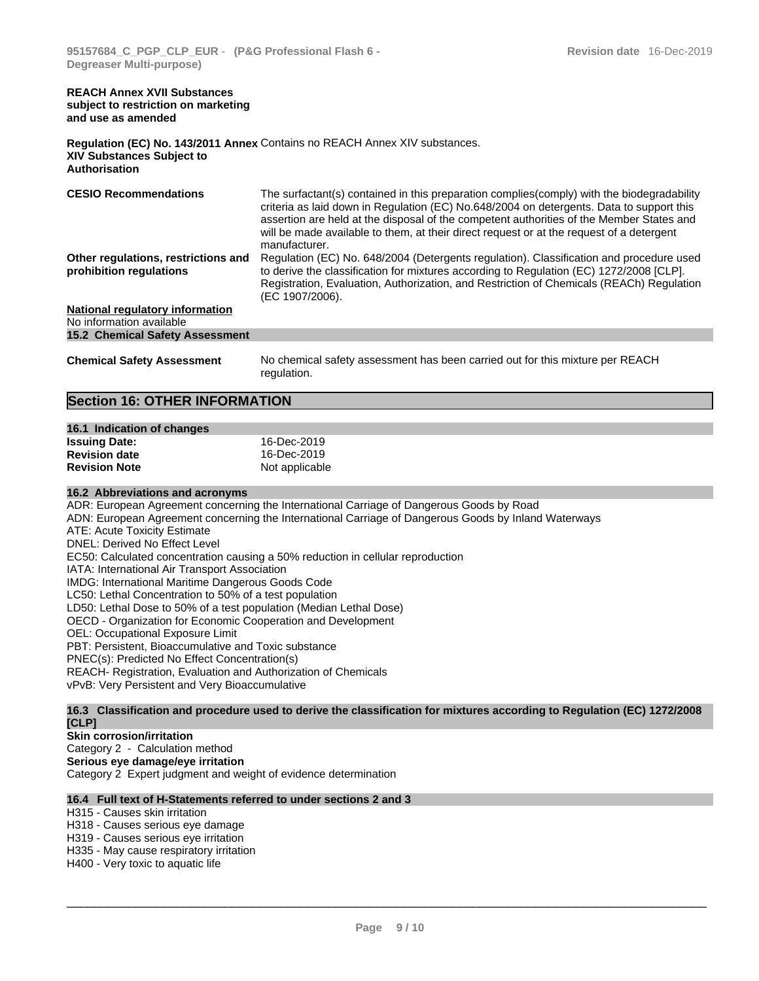#### **REACH Annex XVII Substances subject to restriction on marketing and use as amended**

### **Regulation (EC) No. 143/2011 Annex** Contains no REACH Annex XIV substances. **XIV Substances Subject to Authorisation**

**CESIO Recommendations** The surfactant(s) contained in this preparation complies(comply) with the biodegradability criteria as laid down in Regulation (EC) No.648/2004 on detergents.Data to support this assertion are held at the disposal of the competent authorities of the Member States and will be made available to them, at their direct request or at the request of a detergent manufacturer. **Other regulations, restrictions and prohibition regulations** Regulation (EC) No. 648/2004 (Detergents regulation). Classification and procedure used to derive the classification for mixtures according to Regulation (EC) 1272/2008 [CLP]. Registration, Evaluation, Authorization, and Restriction of Chemicals (REACh) Regulation (EC 1907/2006). **National regulatory information** No information available **15.2 Chemical Safety Assessment** 

**Chemical Safety Assessment** No chemical safety assessment has been carried out for this mixture per REACH regulation.

## **Section 16: OTHER INFORMATION**

| 16.1 Indication of changes |                |
|----------------------------|----------------|
| <b>Issuing Date:</b>       | 16-Dec-2019    |
| <b>Revision date</b>       | 16-Dec-2019    |
| <b>Revision Note</b>       | Not applicable |

## **16.2 Abbreviations and acronyms**

ADR: European Agreement concerning the International Carriage of Dangerous Goods by Road

ADN: European Agreement concerning the International Carriage of Dangerous Goods by Inland Waterways

ATE: Acute Toxicity Estimate

DNEL: Derived No Effect Level

EC50: Calculated concentration causing a 50% reduction in cellular reproduction

IATA: International Air Transport Association

IMDG: International Maritime Dangerous Goods Code

LC50: Lethal Concentration to 50% of a test population

LD50: Lethal Dose to 50% of a test population (Median Lethal Dose)

OECD - Organization for Economic Cooperation and Development

OEL: Occupational Exposure Limit

PBT: Persistent, Bioaccumulative and Toxic substance

PNEC(s): Predicted No Effect Concentration(s)

REACH- Registration, Evaluation and Authorization of Chemicals

vPvB: Very Persistent and Very Bioaccumulative

16.3 Classification and procedure used to derive the classification for mixtures according to Regulation (EC) 1272/2008 **[CLP]** 

## **Skin corrosion/irritation**

Category 2 - Calculation method

**Serious eye damage/eye irritation**

Category 2 Expert judgment and weight of evidence determination

## **16.4 Full text of H-Statements referred to under sections 2 and 3**

H315 - Causes skin irritation

H318 - Causes serious eye damage

H319 - Causes serious eye irritation

H335 - May cause respiratory irritation

H400 - Very toxic to aquatic life